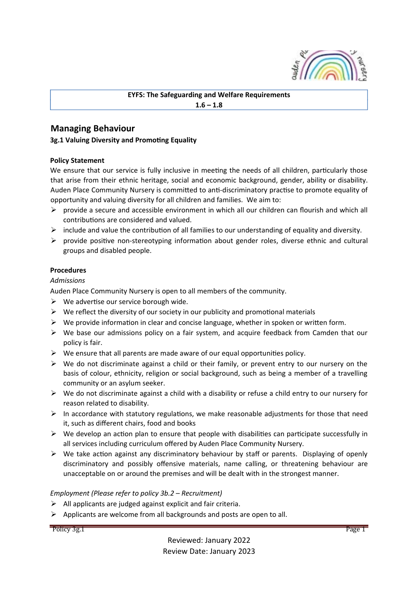

**EYFS: The Safeguarding and Welfare Requirements**  $1.6 - 1.8$ 

# **Managing Behaviour**

#### **3g.1 Valuing Diversity and Promoting Equality**

#### **Policy Statement**

We ensure that our service is fully inclusive in meeting the needs of all children, particularly those that arise from their ethnic heritage, social and economic background, gender, ability or disability. Auden Place Community Nursery is committed to anti-discriminatory practise to promote equality of opportunity and valuing diversity for all children and families. We aim to:

- $\triangleright$  provide a secure and accessible environment in which all our children can flourish and which all contributions are considered and valued.
- $\triangleright$  include and value the contribution of all families to our understanding of equality and diversity.
- $\triangleright$  provide positive non-stereotyping information about gender roles, diverse ethnic and cultural groups and disabled people.

#### **Procedures**

# *Admissions*

Auden Place Community Nursery is open to all members of the community.

- $\triangleright$  We advertise our service borough wide.
- $\triangleright$  We reflect the diversity of our society in our publicity and promotional materials
- $\triangleright$  We provide information in clear and concise language, whether in spoken or written form.
- $\triangleright$  We base our admissions policy on a fair system, and acquire feedback from Camden that our policy is fair.
- $\triangleright$  We ensure that all parents are made aware of our equal opportunities policy.
- $\triangleright$  We do not discriminate against a child or their family, or prevent entry to our nursery on the basis of colour, ethnicity, religion or social background, such as being a member of a travelling community or an asylum seeker.
- $\triangleright$  We do not discriminate against a child with a disability or refuse a child entry to our nursery for reason related to disability.
- $\triangleright$  In accordance with statutory regulations, we make reasonable adjustments for those that need it, such as different chairs, food and books
- $\triangleright$  We develop an action plan to ensure that people with disabilities can participate successfully in all services including curriculum offered by Auden Place Community Nursery.
- $\triangleright$  We take action against any discriminatory behaviour by staff or parents. Displaying of openly discriminatory and possibly offensive materials, name calling, or threatening behaviour are unacceptable on or around the premises and will be dealt with in the strongest manner.

#### *Employment (Please refer to policy 3b.2 – Recruitment)*

- $\triangleright$  All applicants are judged against explicit and fair criteria.
- $\triangleright$  Applicants are welcome from all backgrounds and posts are open to all.

Policy 3g.1 Page 1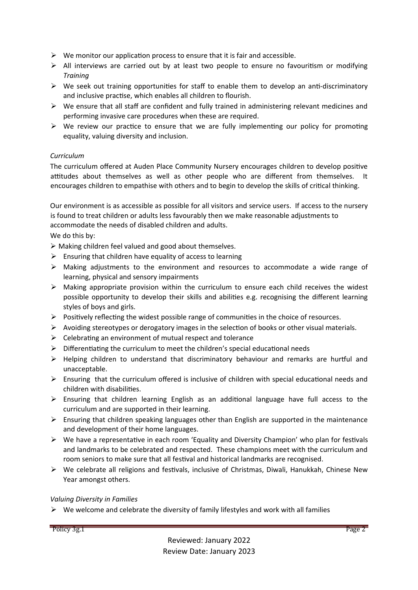- $\triangleright$  We monitor our application process to ensure that it is fair and accessible.
- $\triangleright$  All interviews are carried out by at least two people to ensure no favouritism or modifying *Training*
- $\triangleright$  We seek out training opportunities for staff to enable them to develop an anti-discriminatory and inclusive practise, which enables all children to flourish.
- $\triangleright$  We ensure that all staff are confident and fully trained in administering relevant medicines and performing invasive care procedures when these are required.
- $\triangleright$  We review our practice to ensure that we are fully implementing our policy for promoting equality, valuing diversity and inclusion.

# *Curriculum*

The curriculum offered at Auden Place Community Nursery encourages children to develop positive attitudes about themselves as well as other people who are different from themselves. It encourages children to empathise with others and to begin to develop the skills of critical thinking.

Our environment is as accessible as possible for all visitors and service users. If access to the nursery is found to treat children or adults less favourably then we make reasonable adjustments to accommodate the needs of disabled children and adults.

We do this by:

 $\triangleright$  Making children feel valued and good about themselves.

- $\triangleright$  Ensuring that children have equality of access to learning
- $\triangleright$  Making adjustments to the environment and resources to accommodate a wide range of learning, physical and sensory impairments
- $\triangleright$  Making appropriate provision within the curriculum to ensure each child receives the widest possible opportunity to develop their skills and abilities e.g. recognising the different learning styles of boys and girls.
- $\triangleright$  Positively reflecting the widest possible range of communities in the choice of resources.
- $\triangleright$  Avoiding stereotypes or derogatory images in the selection of books or other visual materials.
- $\triangleright$  Celebrating an environment of mutual respect and tolerance
- $\triangleright$  Differentiating the curriculum to meet the children's special educational needs
- $\triangleright$  Helping children to understand that discriminatory behaviour and remarks are hurtful and unacceptable.
- $\triangleright$  Ensuring that the curriculum offered is inclusive of children with special educational needs and children with disabilities.
- $\triangleright$  Ensuring that children learning English as an additional language have full access to the curriculum and are supported in their learning.
- $\triangleright$  Ensuring that children speaking languages other than English are supported in the maintenance and development of their home languages.
- $\triangleright$  We have a representative in each room 'Equality and Diversity Champion' who plan for festivals and landmarks to be celebrated and respected. These champions meet with the curriculum and room seniors to make sure that all festival and historical landmarks are recognised.
- $\triangleright$  We celebrate all religions and festivals, inclusive of Christmas, Diwali, Hanukkah, Chinese New Year amongst others.

# *Valuing Diversity in Families*

 $\triangleright$  We welcome and celebrate the diversity of family lifestyles and work with all families